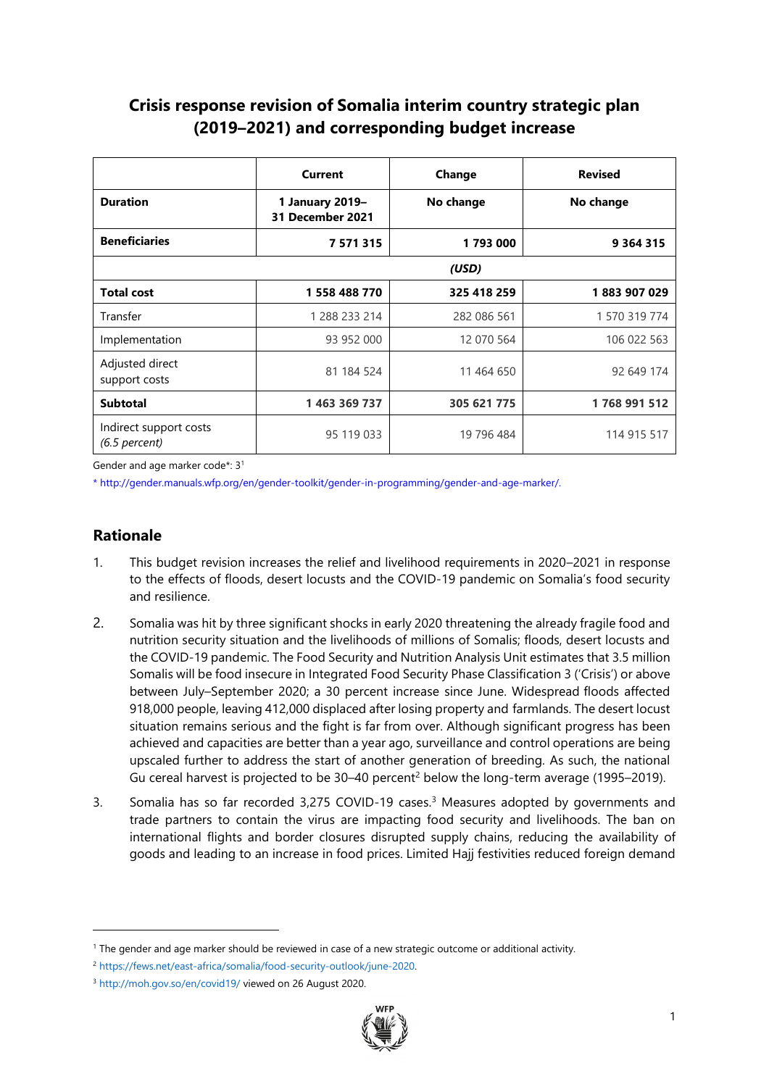# **Crisis response revision of Somalia interim country strategic plan (2019–2021) and corresponding budget increase**

|                                           | <b>Current</b>                      | Change      | <b>Revised</b> |
|-------------------------------------------|-------------------------------------|-------------|----------------|
| <b>Duration</b>                           | 1 January 2019-<br>31 December 2021 | No change   | No change      |
| <b>Beneficiaries</b>                      | 7 5 7 1 3 1 5                       | 1793000     | 9 3 6 4 3 1 5  |
|                                           |                                     | (USD)       |                |
| <b>Total cost</b>                         | 1 558 488 770                       | 325 418 259 | 1883907029     |
| Transfer                                  | 1 288 233 214                       | 282 086 561 | 1 570 319 774  |
| Implementation                            | 93 952 000                          | 12 070 564  | 106 022 563    |
| Adjusted direct<br>support costs          | 81 184 524                          | 11 464 650  | 92 649 174     |
| <b>Subtotal</b>                           | 1 463 369 737                       | 305 621 775 | 1768 991 512   |
| Indirect support costs<br>$(6.5$ percent) | 95 119 033                          | 19 796 484  | 114 915 517    |

Gender and age marker code\*: 3<sup>1</sup>

\* http://gender.manuals.wfp.org/en/gender-toolkit/gender-in-programming/gender-and-age-marker/.

# **Rationale**

- 1. This budget revision increases the relief and livelihood requirements in 2020–2021 in response to the effects of floods, desert locusts and the COVID-19 pandemic on Somalia's food security and resilience.
- 2. Somalia was hit by three significant shocks in early 2020 threatening the already fragile food and nutrition security situation and the livelihoods of millions of Somalis; floods, desert locusts and the COVID-19 pandemic. The Food Security and Nutrition Analysis Unit estimates that 3.5 million Somalis will be food insecure in Integrated Food Security Phase Classification 3 ('Crisis') or above between July–September 2020; a 30 percent increase since June. Widespread floods affected 918,000 people, leaving 412,000 displaced after losing property and farmlands. The desert locust situation remains serious and the fight is far from over. Although significant progress has been achieved and capacities are better than a year ago, surveillance and control operations are being upscaled further to address the start of another generation of breeding. As such, the national Gu cereal harvest is projected to be  $30-40$  percent<sup>2</sup> below the long-term average (1995–2019).
- 3. Somalia has so far recorded 3,275 COVID-19 cases. <sup>3</sup> Measures adopted by governments and trade partners to contain the virus are impacting food security and livelihoods. The ban on international flights and border closures disrupted supply chains, reducing the availability of goods and leading to an increase in food prices. Limited Hajj festivities reduced foreign demand

<sup>3</sup> <http://moh.gov.so/en/covid19/> viewed on 26 August 2020.



<sup>1</sup> The gender and age marker should be reviewed in case of a new strategic outcome or additional activity.

<sup>2</sup> [https://fews.net/east-africa/somalia/food-security-outlook/june-2020.](https://fews.net/east-africa/somalia/food-security-outlook/june-2020)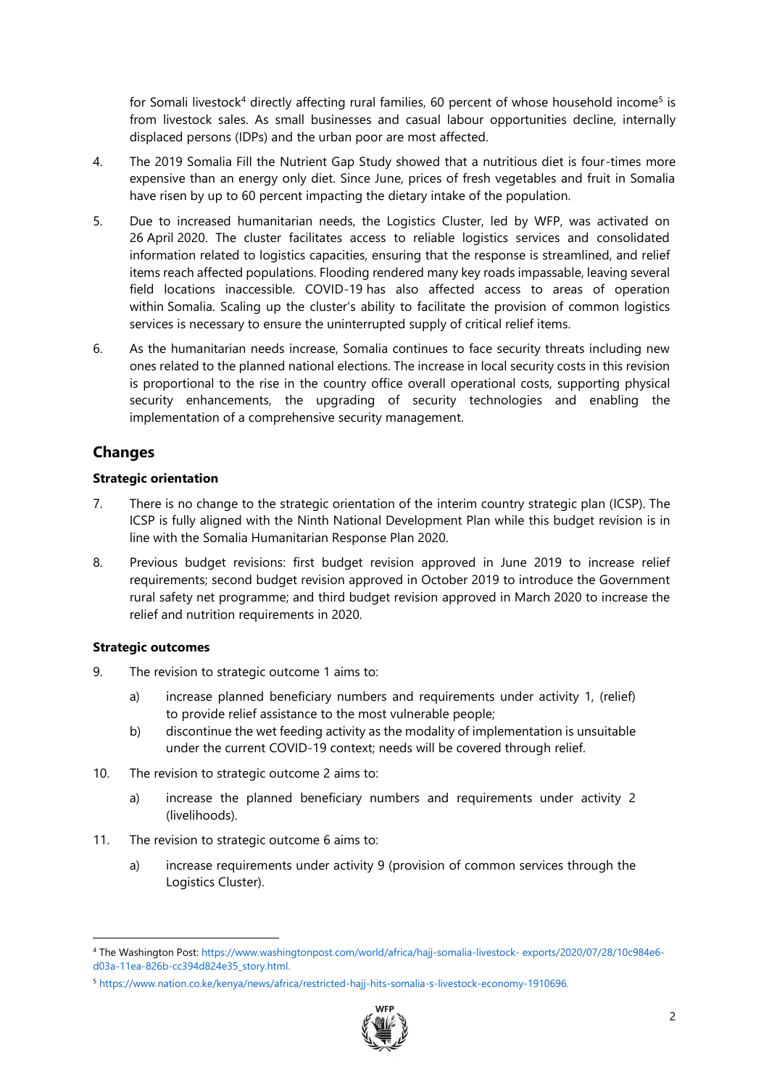for Somali livestock<sup>4</sup> directly affecting rural families, 60 percent of whose household income<sup>5</sup> is from livestock sales. As small businesses and casual labour opportunities decline, internally displaced persons (IDPs) and the urban poor are most affected.

- 4. The 2019 Somalia Fill the Nutrient Gap Study showed that a nutritious diet is four-times more expensive than an energy only diet. Since June, prices of fresh vegetables and fruit in Somalia have risen by up to 60 percent impacting the dietary intake of the population.
- 5. Due to increased humanitarian needs, the Logistics Cluster, led by WFP, was activated on 26 April 2020. The cluster facilitates access to reliable logistics services and consolidated information related to logistics capacities, ensuring that the response is streamlined, and relief items reach affected populations. Flooding rendered many key roads impassable, leaving several field locations inaccessible. COVID-19 has also affected access to areas of operation within Somalia. Scaling up the cluster's ability to facilitate the provision of common logistics services is necessary to ensure the uninterrupted supply of critical relief items.
- 6. As the humanitarian needs increase, Somalia continues to face security threats including new ones related to the planned national elections. The increase in local security costs in this revision is proportional to the rise in the country office overall operational costs, supporting physical security enhancements, the upgrading of security technologies and enabling the implementation of a comprehensive security management.

# **Changes**

# **Strategic orientation**

- 7. There is no change to the strategic orientation of the interim country strategic plan (ICSP). The ICSP is fully aligned with the Ninth National Development Plan while this budget revision is in line with the Somalia Humanitarian Response Plan 2020.
- 8. Previous budget revisions: first budget revision approved in June 2019 to increase relief requirements; second budget revision approved in October 2019 to introduce the Government rural safety net programme; and third budget revision approved in March 2020 to increase the relief and nutrition requirements in 2020.

# **Strategic outcomes**

- 9. The revision to strategic outcome 1 aims to:
	- a) increase planned beneficiary numbers and requirements under activity 1, (relief) to provide relief assistance to the most vulnerable people;
	- b) discontinue the wet feeding activity as the modality of implementation is unsuitable under the current COVID-19 context; needs will be covered through relief.
- 10. The revision to strategic outcome 2 aims to:
	- a) increase the planned beneficiary numbers and requirements under activity 2 (livelihoods).
- 11. The revision to strategic outcome 6 aims to:
	- a) increase requirements under activity 9 (provision of common services through the Logistics Cluster).

<sup>5</sup> [https://www.nation.co.ke/kenya/news/africa/restricted-hajj-hits-somalia-s-livestock-economy-1910696.](https://www.nation.co.ke/kenya/news/africa/restricted-hajj-hits-somalia-s-livestock-economy-1910696)



<sup>4</sup> The Washington Post: [https://www.washingtonpost.com/world/africa/hajj-somalia-livestock-](https://www.washingtonpost.com/world/africa/hajj-somalia-livestock-%20exports/2020/07/28/10c984e6-d03a-11ea-826b-cc394d824e35_story.html) exports/2020/07/28/10c984e6 [d03a-11ea-826b-cc394d824e35\\_story.html.](https://www.washingtonpost.com/world/africa/hajj-somalia-livestock-%20exports/2020/07/28/10c984e6-d03a-11ea-826b-cc394d824e35_story.html)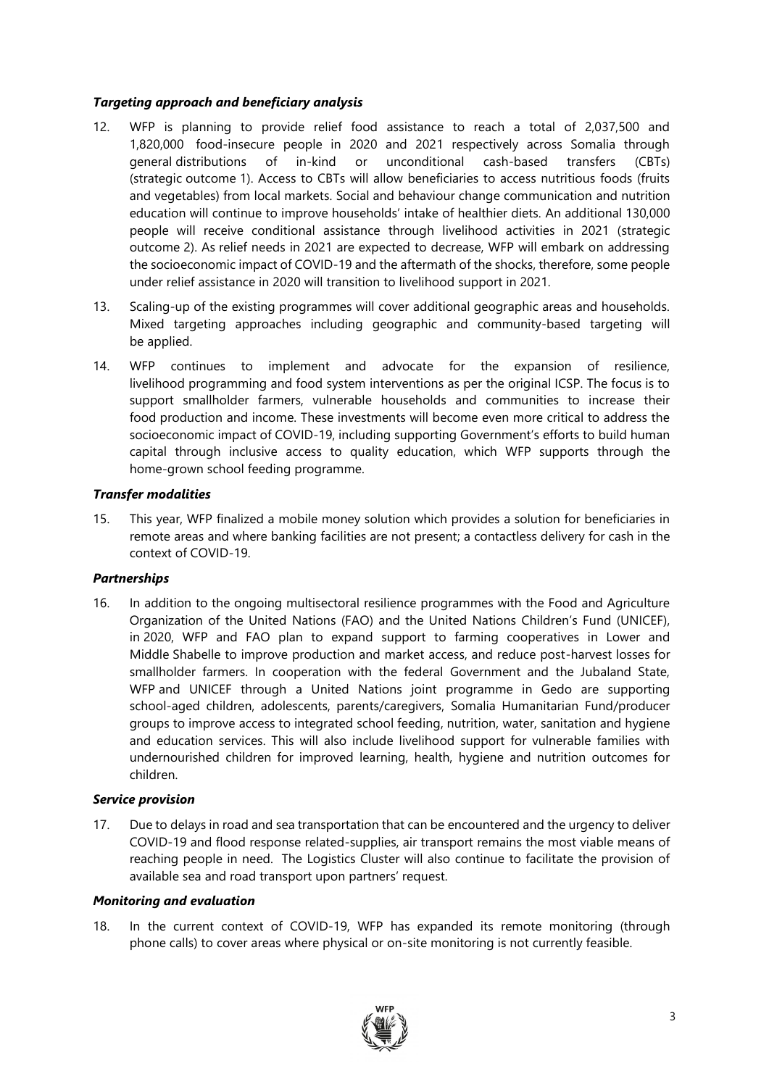## *Targeting approach and beneficiary analysis*

- 12. WFP is planning to provide relief food assistance to reach a total of 2,037,500 and 1,820,000 food-insecure people in 2020 and 2021 respectively across Somalia through general distributions of in-kind or unconditional cash-based transfers (CBTs) (strategic outcome 1). Access to CBTs will allow beneficiaries to access nutritious foods (fruits and vegetables) from local markets. Social and behaviour change communication and nutrition education will continue to improve households' intake of healthier diets. An additional 130,000 people will receive conditional assistance through livelihood activities in 2021 (strategic outcome 2). As relief needs in 2021 are expected to decrease, WFP will embark on addressing the socioeconomic impact of COVID-19 and the aftermath of the shocks, therefore, some people under relief assistance in 2020 will transition to livelihood support in 2021.
- 13. Scaling-up of the existing programmes will cover additional geographic areas and households. Mixed targeting approaches including geographic and community-based targeting will be applied.
- 14. WFP continues to implement and advocate for the expansion of resilience, livelihood programming and food system interventions as per the original ICSP. The focus is to support smallholder farmers, vulnerable households and communities to increase their food production and income. These investments will become even more critical to address the socioeconomic impact of COVID-19, including supporting Government's efforts to build human capital through inclusive access to quality education, which WFP supports through the home-grown school feeding programme.

### *Transfer modalities*

15. This year, WFP finalized a mobile money solution which provides a solution for beneficiaries in remote areas and where banking facilities are not present; a contactless delivery for cash in the context of COVID-19.

#### *Partnerships*

16. In addition to the ongoing multisectoral resilience programmes with the Food and Agriculture Organization of the United Nations (FAO) and the United Nations Children's Fund (UNICEF), in 2020, WFP and FAO plan to expand support to farming cooperatives in Lower and Middle Shabelle to improve production and market access, and reduce post-harvest losses for smallholder farmers. In cooperation with the federal Government and the Jubaland State, WFP and UNICEF through a United Nations joint programme in Gedo are supporting school-aged children, adolescents, parents/caregivers, Somalia Humanitarian Fund/producer groups to improve access to integrated school feeding, nutrition, water, sanitation and hygiene and education services. This will also include livelihood support for vulnerable families with undernourished children for improved learning, health, hygiene and nutrition outcomes for children.

#### *Service provision*

17. Due to delays in road and sea transportation that can be encountered and the urgency to deliver COVID-19 and flood response related-supplies, air transport remains the most viable means of reaching people in need. The Logistics Cluster will also continue to facilitate the provision of available sea and road transport upon partners' request.

#### *Monitoring and evaluation*

18. In the current context of COVID-19, WFP has expanded its remote monitoring (through phone calls) to cover areas where physical or on-site monitoring is not currently feasible.

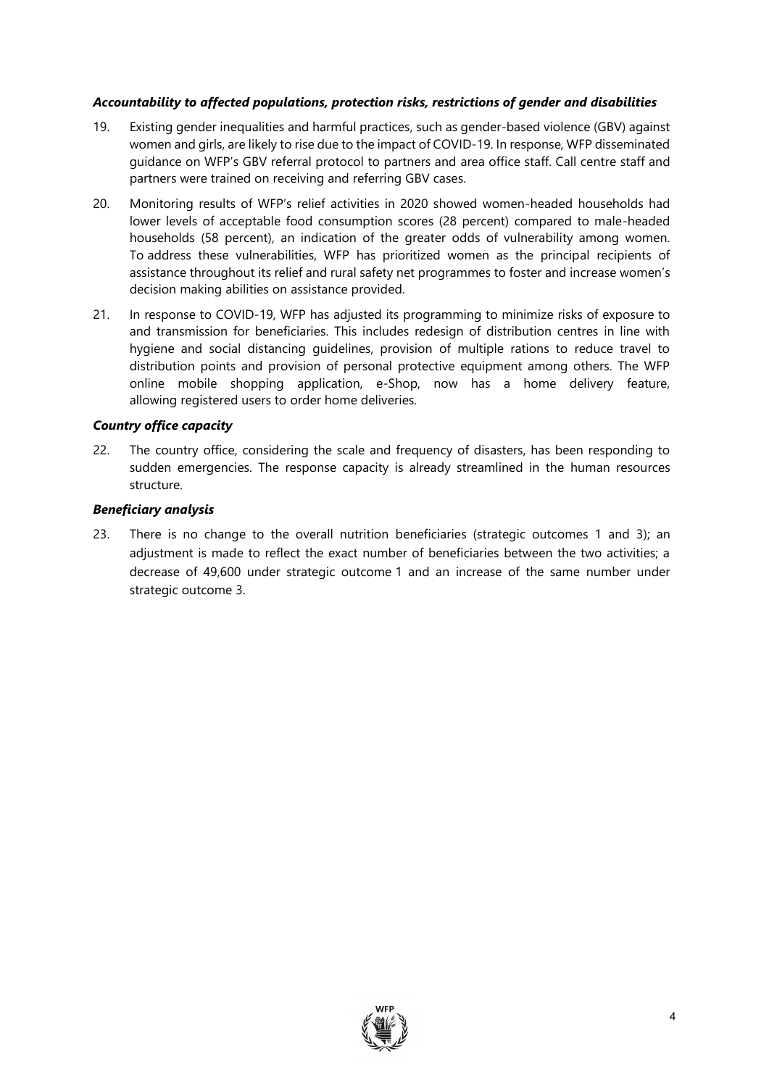## *Accountability to affected populations, protection risks, restrictions of gender and disabilities*

- 19. Existing gender inequalities and harmful practices, such as gender-based violence (GBV) against women and girls, are likely to rise due to the impact of COVID-19. In response, WFP disseminated guidance on WFP's GBV referral protocol to partners and area office staff. Call centre staff and partners were trained on receiving and referring GBV cases.
- 20. Monitoring results of WFP's relief activities in 2020 showed women-headed households had lower levels of acceptable food consumption scores (28 percent) compared to male-headed households (58 percent), an indication of the greater odds of vulnerability among women. To address these vulnerabilities, WFP has prioritized women as the principal recipients of assistance throughout its relief and rural safety net programmes to foster and increase women's decision making abilities on assistance provided.
- 21. In response to COVID-19, WFP has adjusted its programming to minimize risks of exposure to and transmission for beneficiaries. This includes redesign of distribution centres in line with hygiene and social distancing guidelines, provision of multiple rations to reduce travel to distribution points and provision of personal protective equipment among others. The WFP online mobile shopping application, e-Shop, now has a home delivery feature, allowing registered users to order home deliveries.

### *Country office capacity*

22. The country office, considering the scale and frequency of disasters, has been responding to sudden emergencies. The response capacity is already streamlined in the human resources structure.

#### *Beneficiary analysis*

23. There is no change to the overall nutrition beneficiaries (strategic outcomes 1 and 3); an adjustment is made to reflect the exact number of beneficiaries between the two activities; a decrease of 49,600 under strategic outcome 1 and an increase of the same number under strategic outcome 3.

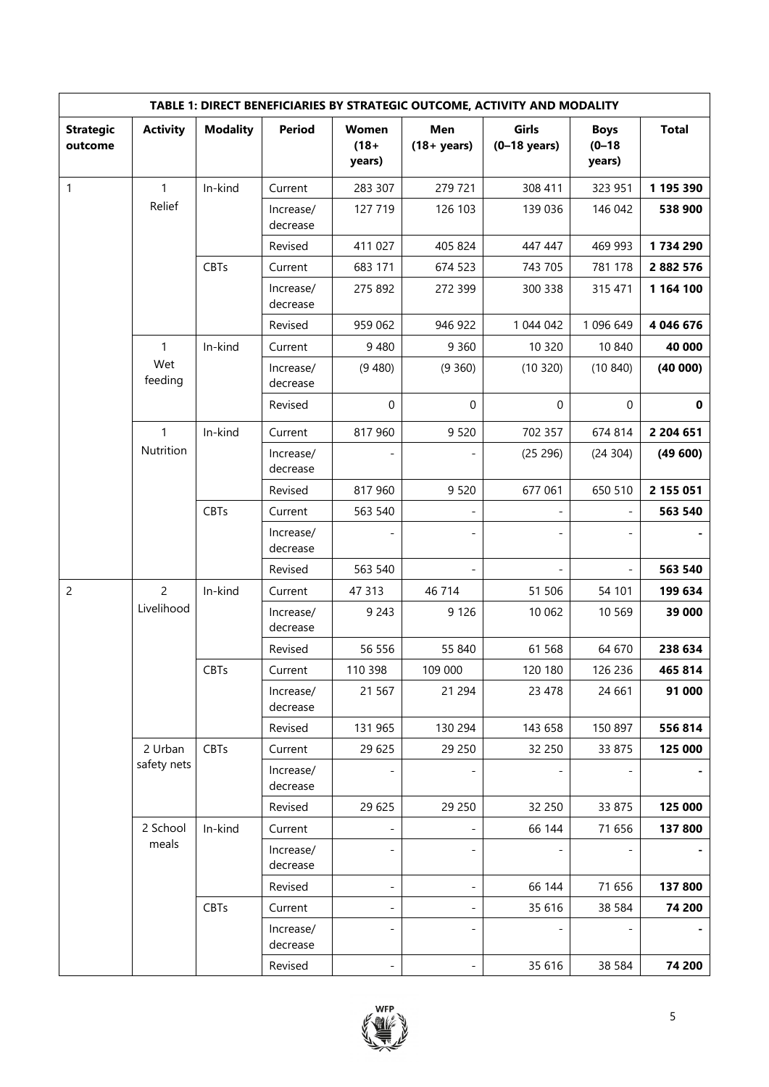| TABLE 1: DIRECT BENEFICIARIES BY STRATEGIC OUTCOME, ACTIVITY AND MODALITY |                 |                 |                       |                              |                       |                         |                                     |              |
|---------------------------------------------------------------------------|-----------------|-----------------|-----------------------|------------------------------|-----------------------|-------------------------|-------------------------------------|--------------|
| <b>Strategic</b><br>outcome                                               | <b>Activity</b> | <b>Modality</b> | <b>Period</b>         | Women<br>$(18 +$<br>years)   | Men<br>$(18 + years)$ | Girls<br>$(0-18$ years) | <b>Boys</b><br>$(0 - 18)$<br>years) | <b>Total</b> |
| 1                                                                         | 1               | In-kind         | Current               | 283 307                      | 279 721               | 308 411                 | 323 951                             | 1 195 390    |
|                                                                           | Relief          |                 | Increase/<br>decrease | 127 719                      | 126 103               | 139 036                 | 146 042                             | 538 900      |
|                                                                           |                 |                 | Revised               | 411 027                      | 405 824               | 447 447                 | 469 993                             | 1734 290     |
|                                                                           |                 | <b>CBTs</b>     | Current               | 683 171                      | 674 523               | 743 705                 | 781 178                             | 2 882 576    |
|                                                                           |                 |                 | Increase/<br>decrease | 275 892                      | 272 399               | 300 338                 | 315 471                             | 1 164 100    |
|                                                                           |                 |                 | Revised               | 959 062                      | 946 922               | 1 044 042               | 1 096 649                           | 4 046 676    |
|                                                                           | $\mathbf{1}$    | In-kind         | Current               | 9 4 8 0                      | 9 3 6 0               | 10 320                  | 10 840                              | 40 000       |
|                                                                           | Wet<br>feeding  |                 | Increase/<br>decrease | (9480)                       | (9360)                | (10320)                 | (10840)                             | (40000)      |
|                                                                           |                 |                 | Revised               | 0                            | $\mathbf 0$           | $\mathbf 0$             | 0                                   | $\mathbf 0$  |
|                                                                           | $\mathbf{1}$    | In-kind         | Current               | 817 960                      | 9 5 20                | 702 357                 | 674 814                             | 2 204 651    |
|                                                                           | Nutrition       |                 | Increase/<br>decrease |                              |                       | (25 296)                | (24304)                             | (49600)      |
|                                                                           |                 |                 | Revised               | 817 960                      | 9 5 20                | 677 061                 | 650 510                             | 2 155 051    |
|                                                                           |                 | <b>CBTs</b>     | Current               | 563 540                      |                       |                         |                                     | 563 540      |
|                                                                           |                 |                 | Increase/<br>decrease |                              |                       |                         |                                     |              |
|                                                                           |                 |                 | Revised               | 563 540                      |                       |                         |                                     | 563 540      |
| $\overline{c}$                                                            | $\overline{c}$  | In-kind         | Current               | 47 313                       | 46 714                | 51 506                  | 54 101                              | 199 634      |
|                                                                           | Livelihood      |                 | Increase/<br>decrease | 9 2 4 3                      | 9 1 2 6               | 10 062                  | 10 5 69                             | 39 000       |
|                                                                           |                 |                 | Revised               | 56 556                       | 55 840                | 61 5 68                 | 64 670                              | 238 634      |
|                                                                           |                 | <b>CBTs</b>     | Current               | 110 398                      | 109 000               | 120 180                 | 126 236                             | 465 814      |
|                                                                           |                 |                 | Increase/<br>decrease | 21 5 67                      | 21 294                | 23 4 78                 | 24 661                              | 91 000       |
|                                                                           |                 |                 | Revised               | 131 965                      | 130 294               | 143 658                 | 150 897                             | 556814       |
|                                                                           | 2 Urban         | CBTs            | Current               | 29 625                       | 29 250                | 32 250                  | 33 875                              | 125 000      |
|                                                                           | safety nets     |                 | Increase/<br>decrease |                              |                       |                         |                                     |              |
|                                                                           |                 |                 | Revised               | 29 625                       | 29 250                | 32 250                  | 33 875                              | 125 000      |
|                                                                           | 2 School        | In-kind         | Current               | $\qquad \qquad \blacksquare$ |                       | 66 144                  | 71 656                              | 137 800      |
|                                                                           | meals           |                 | Increase/<br>decrease |                              |                       |                         |                                     |              |
|                                                                           |                 |                 | Revised               | $\overline{\phantom{0}}$     |                       | 66 144                  | 71 656                              | 137 800      |
|                                                                           |                 | CBTs            | Current               | -                            |                       | 35 616                  | 38 5 84                             | 74 200       |
|                                                                           |                 |                 | Increase/<br>decrease | $\overline{\phantom{0}}$     |                       |                         |                                     |              |
|                                                                           |                 |                 | Revised               | $\qquad \qquad \blacksquare$ |                       | 35 616                  | 38 5 84                             | 74 200       |

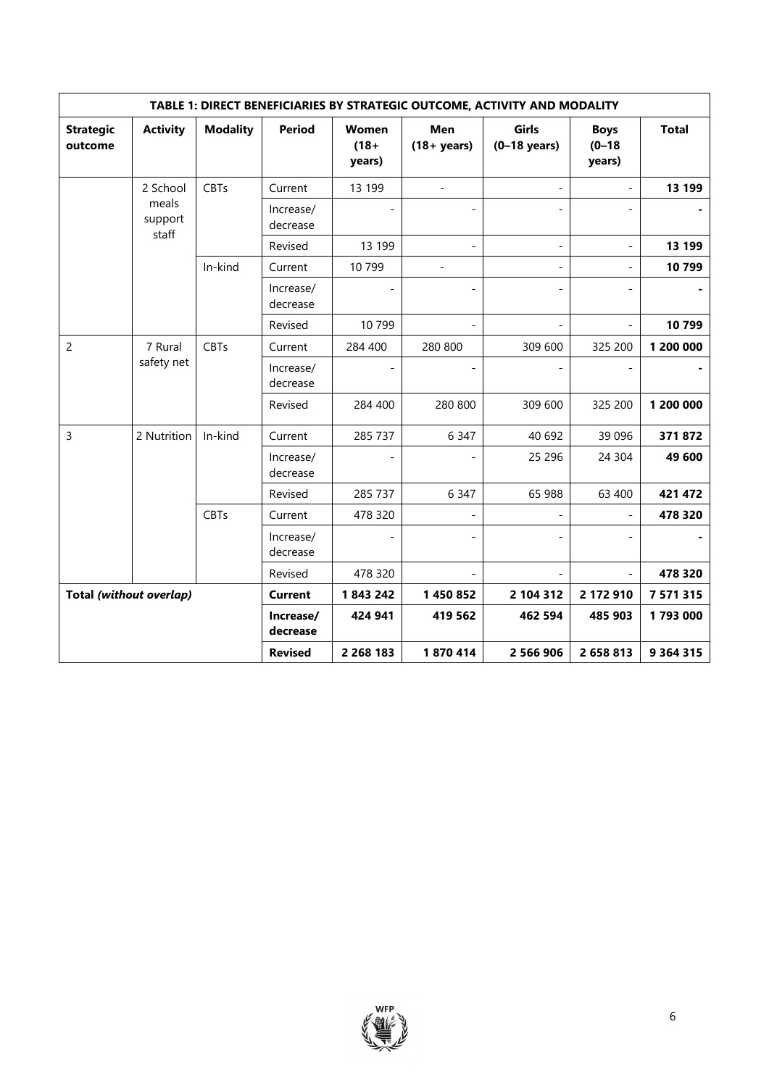|                             | TABLE 1: DIRECT BENEFICIARIES BY STRATEGIC OUTCOME, ACTIVITY AND MODALITY |                 |                       |                            |                              |                         |                                     |               |
|-----------------------------|---------------------------------------------------------------------------|-----------------|-----------------------|----------------------------|------------------------------|-------------------------|-------------------------------------|---------------|
| <b>Strategic</b><br>outcome | <b>Activity</b>                                                           | <b>Modality</b> | <b>Period</b>         | Women<br>$(18 +$<br>years) | <b>Men</b><br>$(18 + years)$ | Girls<br>$(0-18$ years) | <b>Boys</b><br>$(0 - 18)$<br>years) | <b>Total</b>  |
|                             | 2 School                                                                  | <b>CBTs</b>     | Current               | 13 199                     | $\overline{a}$               |                         |                                     | 13 199        |
|                             | meals<br>support<br>staff                                                 |                 | Increase/<br>decrease |                            |                              |                         |                                     |               |
|                             |                                                                           |                 | Revised               | 13 199                     |                              |                         | $\overline{a}$                      | 13 199        |
|                             |                                                                           | In-kind         | Current               | 10799                      |                              |                         |                                     | 10799         |
|                             |                                                                           |                 | Increase/<br>decrease |                            |                              |                         |                                     |               |
|                             |                                                                           |                 | Revised               | 10 799                     |                              |                         |                                     | 10799         |
| $\overline{c}$              | 7 Rural                                                                   | <b>CBTs</b>     | Current               | 284 400                    | 280 800                      | 309 600                 | 325 200                             | 1 200 000     |
|                             | safety net                                                                |                 | Increase/<br>decrease |                            |                              |                         |                                     |               |
|                             |                                                                           |                 | Revised               | 284 400                    | 280 800                      | 309 600                 | 325 200                             | 1 200 000     |
| 3                           | 2 Nutrition                                                               | In-kind         | Current               | 285 737                    | 6 3 4 7                      | 40 692                  | 39 096                              | 371872        |
|                             |                                                                           |                 | Increase/<br>decrease |                            |                              | 25 29 6                 | 24 304                              | 49 600        |
|                             |                                                                           |                 | Revised               | 285 737                    | 6 3 4 7                      | 65 988                  | 63 400                              | 421 472       |
|                             |                                                                           | <b>CBTs</b>     | Current               | 478 320                    |                              |                         |                                     | 478 320       |
|                             |                                                                           |                 | Increase/<br>decrease |                            |                              |                         |                                     |               |
|                             |                                                                           |                 | Revised               | 478 320                    |                              |                         |                                     | 478 320       |
| Total (without overlap)     |                                                                           |                 | <b>Current</b>        | 1843242                    | 1 450 852                    | 2 104 312               | 2 172 910                           | 7 571 315     |
|                             |                                                                           |                 | Increase/<br>decrease | 424 941                    | 419 562                      | 462 594                 | 485 903                             | 1793000       |
|                             |                                                                           |                 | <b>Revised</b>        | 2 268 183                  | 1870414                      | 2 566 906               | 2 658 813                           | 9 3 6 4 3 1 5 |

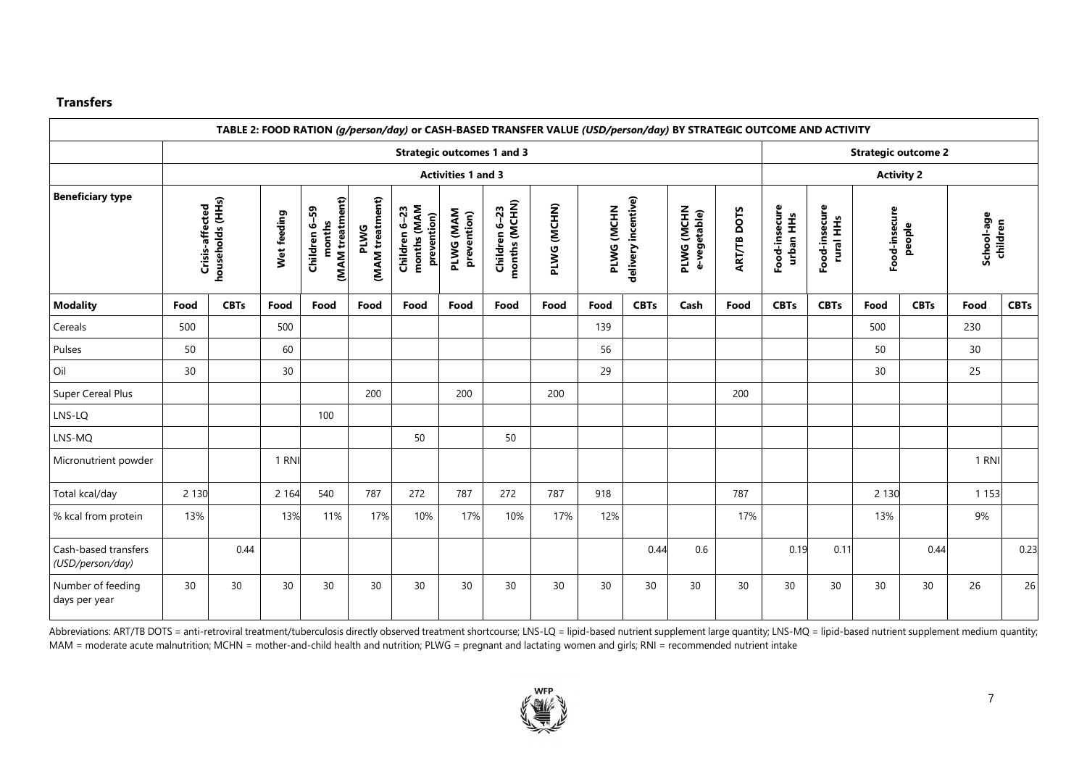#### **Transfers**

|                                          |                 |                           |             |                                            |                                | TABLE 2: FOOD RATION (g/person/day) or CASH-BASED TRANSFER VALUE (USD/person/day) BY STRATEGIC OUTCOME AND ACTIVITY |                          |                                   |             |            |                     |                            |                    |                            |                            |               |                            |                        |             |
|------------------------------------------|-----------------|---------------------------|-------------|--------------------------------------------|--------------------------------|---------------------------------------------------------------------------------------------------------------------|--------------------------|-----------------------------------|-------------|------------|---------------------|----------------------------|--------------------|----------------------------|----------------------------|---------------|----------------------------|------------------------|-------------|
|                                          |                 |                           |             |                                            |                                |                                                                                                                     |                          | <b>Strategic outcomes 1 and 3</b> |             |            |                     |                            |                    |                            |                            |               | <b>Strategic outcome 2</b> |                        |             |
|                                          |                 | <b>Activities 1 and 3</b> |             |                                            |                                |                                                                                                                     |                          |                                   |             |            |                     |                            |                    |                            | <b>Activity 2</b>          |               |                            |                        |             |
| <b>Beneficiary type</b>                  | Crisis-affected | households (HHs)          | Wet feeding | (MAM treatment)<br>Children 6-59<br>months | (MAM treatment)<br><b>PLWG</b> | months (MAM<br>Children 6-23<br>prevention)                                                                         | PLWG (MAM<br>prevention) | Children 6-23<br>months (MCHN)    | PLWG (MCHN) | PLWG (MCHN | delivery incentive) | PLWG (MCHN<br>e-vegetable) | <b>ART/TB DOTS</b> | Food-insecure<br>urban HHs | Food-insecure<br>rural HHs | Food-insecure | people                     | School-age<br>children |             |
| <b>Modality</b>                          | Food            | <b>CBTs</b>               | Food        | Food                                       | Food                           | Food                                                                                                                | Food                     | Food                              | Food        | Food       | <b>CBTs</b>         | Cash                       | Food               | <b>CBTs</b>                | <b>CBTs</b>                | Food          | <b>CBTs</b>                | Food                   | <b>CBTs</b> |
| Cereals                                  | 500             |                           | 500         |                                            |                                |                                                                                                                     |                          |                                   |             | 139        |                     |                            |                    |                            |                            | 500           |                            | 230                    |             |
| Pulses                                   | 50              |                           | 60          |                                            |                                |                                                                                                                     |                          |                                   |             | 56         |                     |                            |                    |                            |                            | 50            |                            | 30                     |             |
| Oil                                      | 30              |                           | 30          |                                            |                                |                                                                                                                     |                          |                                   |             | 29         |                     |                            |                    |                            |                            | 30            |                            | 25                     |             |
| <b>Super Cereal Plus</b>                 |                 |                           |             |                                            | 200                            |                                                                                                                     | 200                      |                                   | 200         |            |                     |                            | 200                |                            |                            |               |                            |                        |             |
| LNS-LQ                                   |                 |                           |             | 100                                        |                                |                                                                                                                     |                          |                                   |             |            |                     |                            |                    |                            |                            |               |                            |                        |             |
| LNS-MQ                                   |                 |                           |             |                                            |                                | 50                                                                                                                  |                          | 50                                |             |            |                     |                            |                    |                            |                            |               |                            |                        |             |
| Micronutrient powder                     |                 |                           | 1 RNI       |                                            |                                |                                                                                                                     |                          |                                   |             |            |                     |                            |                    |                            |                            |               |                            | 1 RNI                  |             |
| Total kcal/day                           | 2 1 3 0         |                           | 2 1 6 4     | 540                                        | 787                            | 272                                                                                                                 | 787                      | 272                               | 787         | 918        |                     |                            | 787                |                            |                            | 2 1 3 0       |                            | 1 1 5 3                |             |
| % kcal from protein                      | 13%             |                           | 13%         | 11%                                        | 17%                            | 10%                                                                                                                 | 17%                      | 10%                               | 17%         | 12%        |                     |                            | 17%                |                            |                            | 13%           |                            | 9%                     |             |
| Cash-based transfers<br>(USD/person/day) |                 | 0.44                      |             |                                            |                                |                                                                                                                     |                          |                                   |             |            | 0.44                | 0.6                        |                    | 0.19                       | 0.11                       |               | 0.44                       |                        | 0.23        |
| Number of feeding<br>days per year       | 30              | 30                        | 30          | 30                                         | 30                             | 30                                                                                                                  | 30                       | 30                                | 30          | 30         | 30                  | 30                         | 30                 | 30                         | 30                         | 30            | 30                         | 26                     | 26          |

Abbreviations: ART/TB DOTS = anti-retroviral treatment/tuberculosis directly observed treatment shortcourse; LNS-LQ = lipid-based nutrient supplement large quantity; LNS-MQ = lipid-based nutrient supplement medium quantity MAM = moderate acute malnutrition; MCHN = mother-and-child health and nutrition; PLWG = pregnant and lactating women and girls; RNI = recommended nutrient intake

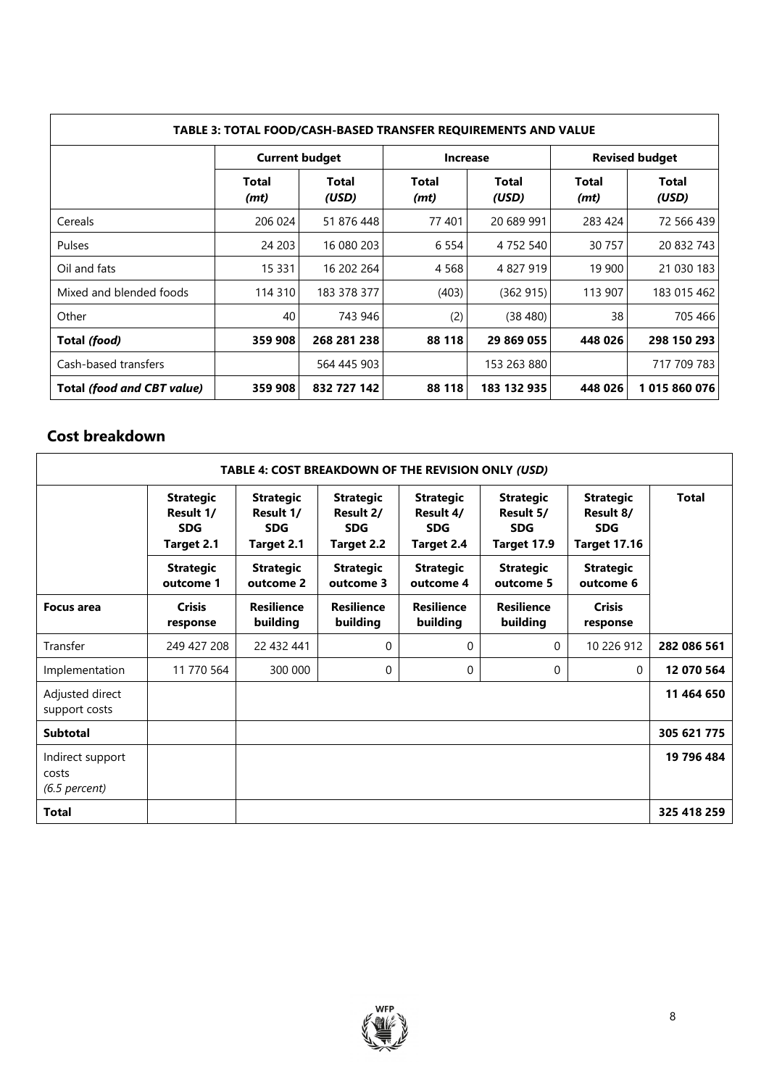| TABLE 3: TOTAL FOOD/CASH-BASED TRANSFER REQUIREMENTS AND VALUE |                       |                       |                 |                |                       |                       |  |
|----------------------------------------------------------------|-----------------------|-----------------------|-----------------|----------------|-----------------------|-----------------------|--|
|                                                                | <b>Current budget</b> |                       | <b>Increase</b> |                | <b>Revised budget</b> |                       |  |
|                                                                | Total<br>(mt)         | <b>Total</b><br>(USD) | Total<br>(mt)   | Total<br>(USD) | Total<br>(mt)         | <b>Total</b><br>(USD) |  |
| Cereals                                                        | 206 024               | 51 876 448            | 77 401          | 20 689 991     | 283 424               | 72 566 439            |  |
| Pulses                                                         | 24 203                | 16 080 203            | 6 5 5 4         | 4 7 5 2 5 4 0  | 30 757                | 20 832 743            |  |
| Oil and fats                                                   | 15 3 31               | 16 202 264            | 4 5 6 8         | 4 827 919      | 19 900                | 21 030 183            |  |
| Mixed and blended foods                                        | 114 310               | 183 378 377           | (403)           | (362915)       | 113 907               | 183 015 462           |  |
| Other                                                          | 40                    | 743 946               | (2)             | (38, 480)      | 38                    | 705 466               |  |
| Total (food)                                                   | 359 908               | 268 281 238           | 88 118          | 29 869 055     | 448 026               | 298 150 293           |  |
| Cash-based transfers                                           |                       | 564 445 903           |                 | 153 263 880    |                       | 717 709 783           |  |
| Total (food and CBT value)                                     | 359 908               | 832 727 142           | 88 118          | 183 132 935    | 448 026               | 1015860076            |  |

# **Cost breakdown**

| TABLE 4: COST BREAKDOWN OF THE REVISION ONLY (USD) |                                                           |                                                           |                                                           |                                                           |                                                            |                                                                    |              |  |
|----------------------------------------------------|-----------------------------------------------------------|-----------------------------------------------------------|-----------------------------------------------------------|-----------------------------------------------------------|------------------------------------------------------------|--------------------------------------------------------------------|--------------|--|
|                                                    | <b>Strategic</b><br>Result 1/<br><b>SDG</b><br>Target 2.1 | <b>Strategic</b><br>Result 1/<br><b>SDG</b><br>Target 2.1 | <b>Strategic</b><br>Result 2/<br><b>SDG</b><br>Target 2.2 | <b>Strategic</b><br>Result 4/<br><b>SDG</b><br>Target 2.4 | <b>Strategic</b><br>Result 5/<br><b>SDG</b><br>Target 17.9 | <b>Strategic</b><br>Result 8/<br><b>SDG</b><br><b>Target 17.16</b> | <b>Total</b> |  |
|                                                    | <b>Strategic</b><br>outcome 1                             | <b>Strategic</b><br>outcome 2                             | <b>Strategic</b><br>outcome 3                             | <b>Strategic</b><br>outcome 4                             | <b>Strategic</b><br>outcome 5                              | <b>Strategic</b><br>outcome 6                                      |              |  |
| <b>Focus area</b>                                  | <b>Crisis</b><br>response                                 | <b>Resilience</b><br>building                             | <b>Resilience</b><br>building                             | <b>Resilience</b><br>building                             | <b>Resilience</b><br>building                              | <b>Crisis</b><br>response                                          |              |  |
| Transfer                                           | 249 427 208                                               | 22 432 441                                                | 0                                                         | 0                                                         | $\Omega$                                                   | 10 226 912                                                         | 282 086 561  |  |
| Implementation                                     | 11 770 564                                                | 300 000                                                   | $\Omega$                                                  | 0                                                         | 0                                                          | $\mathbf{0}$                                                       | 12 070 564   |  |
| Adjusted direct<br>support costs                   |                                                           |                                                           |                                                           |                                                           |                                                            |                                                                    | 11 464 650   |  |
| <b>Subtotal</b>                                    |                                                           |                                                           |                                                           |                                                           |                                                            |                                                                    | 305 621 775  |  |
| Indirect support<br>costs<br>$(6.5$ percent)       |                                                           |                                                           |                                                           |                                                           |                                                            |                                                                    | 19 796 484   |  |
| <b>Total</b>                                       |                                                           |                                                           |                                                           |                                                           |                                                            |                                                                    | 325 418 259  |  |

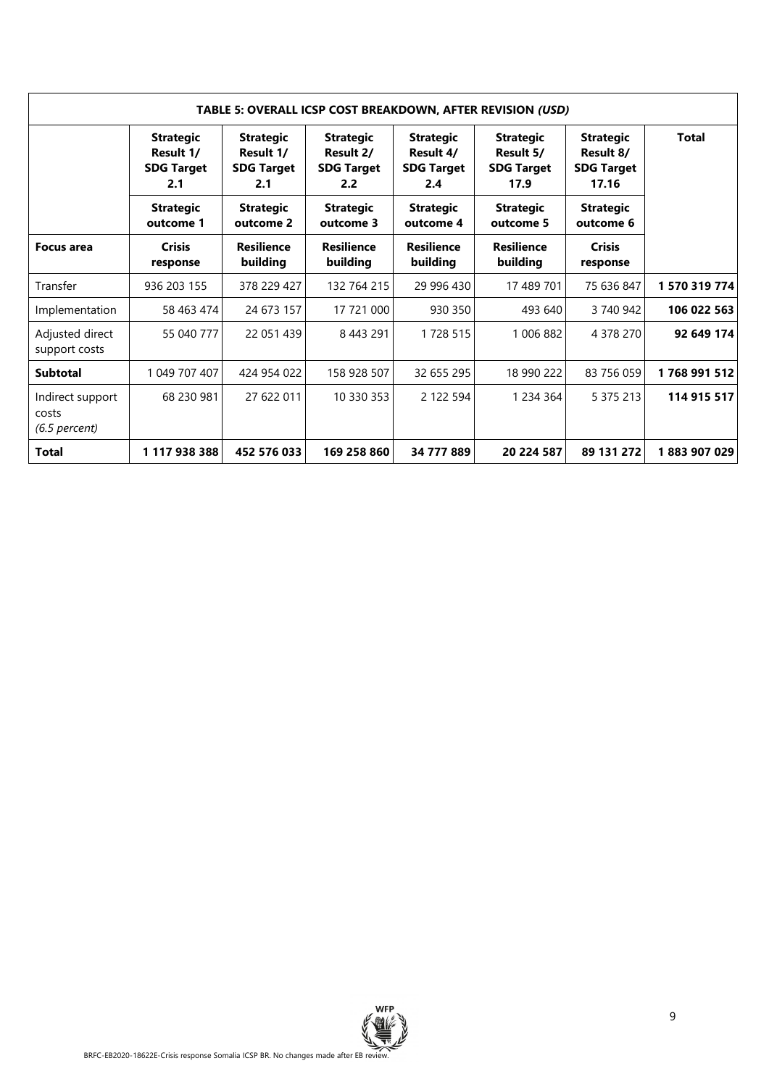| TABLE 5: OVERALL ICSP COST BREAKDOWN, AFTER REVISION (USD) |                                                           |                                                           |                                                           |                                                           |                                                            |                                                             |               |  |
|------------------------------------------------------------|-----------------------------------------------------------|-----------------------------------------------------------|-----------------------------------------------------------|-----------------------------------------------------------|------------------------------------------------------------|-------------------------------------------------------------|---------------|--|
|                                                            | <b>Strategic</b><br>Result 1/<br><b>SDG Target</b><br>2.1 | <b>Strategic</b><br>Result 1/<br><b>SDG Target</b><br>2.1 | <b>Strategic</b><br>Result 2/<br><b>SDG Target</b><br>2.2 | <b>Strategic</b><br>Result 4/<br><b>SDG Target</b><br>2.4 | <b>Strategic</b><br>Result 5/<br><b>SDG Target</b><br>17.9 | <b>Strategic</b><br>Result 8/<br><b>SDG Target</b><br>17.16 | <b>Total</b>  |  |
|                                                            | <b>Strategic</b><br>outcome 1                             | <b>Strategic</b><br>outcome 2                             | <b>Strategic</b><br>outcome 3                             | <b>Strategic</b><br>outcome 4                             | <b>Strategic</b><br>outcome 5                              | <b>Strategic</b><br>outcome 6                               |               |  |
| <b>Focus area</b>                                          | <b>Crisis</b><br>response                                 | <b>Resilience</b><br>building                             | <b>Resilience</b><br>building                             | <b>Resilience</b><br>building                             | <b>Resilience</b><br>building                              | <b>Crisis</b><br>response                                   |               |  |
| Transfer                                                   | 936 203 155                                               | 378 229 427                                               | 132 764 215                                               | 29 996 430                                                | 17 489 701                                                 | 75 636 847                                                  | 1 570 319 774 |  |
| Implementation                                             | 58 463 474                                                | 24 673 157                                                | 17 721 000                                                | 930 350                                                   | 493 640                                                    | 3 740 942                                                   | 106 022 563   |  |
| Adjusted direct<br>support costs                           | 55 040 777                                                | 22 051 439                                                | 8 4 4 3 2 9 1                                             | 1728 515                                                  | 1 006 882                                                  | 4 378 270                                                   | 92 649 174    |  |
| <b>Subtotal</b>                                            | 1 049 707 407                                             | 424 954 022                                               | 158 928 507                                               | 32 655 295                                                | 18 990 222                                                 | 83 756 059                                                  | 1768991512    |  |
| Indirect support<br>costs<br>$(6.5$ percent)               | 68 230 981                                                | 27 622 011                                                | 10 330 353                                                | 2 122 594                                                 | 1 2 3 4 3 6 4                                              | 5 375 213                                                   | 114 915 517   |  |
| Total                                                      | 1 117 938 388                                             | 452 576 033                                               | 169 258 860                                               | 34 777 889                                                | 20 224 587                                                 | 89 131 272                                                  | 1883907029    |  |